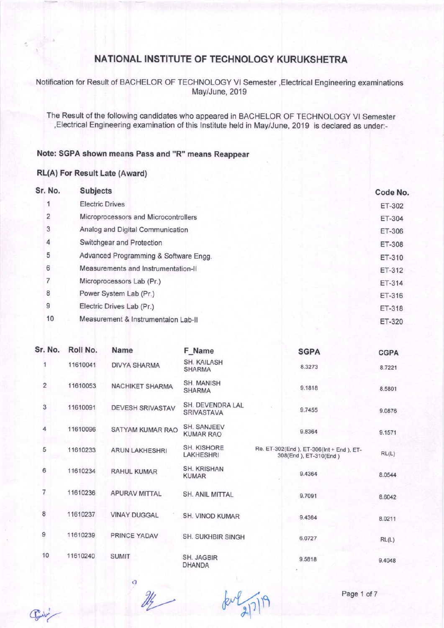Notification for Result of BACHELOR OF TECHNOLOGY Vl Semester ,Electrical Engineering examinations May/June, 2019

The Result of the following candidates who appeared in BACHELOR OF TECHNOLOGY Vl Semester ,Electrical Engineering examination of this Institute held in May/June, 2019 is declared as under:-

#### Note: SGPA shown means Pass and "R" means Reappear

#### RL(A) For Result Late (Award)

| Sr. No.        | <b>Subjects</b>                       | Code No. |
|----------------|---------------------------------------|----------|
|                | <b>Electric Drives</b>                | ET-302   |
| $\overline{2}$ | Microprocessors and Microcontrollers  | ET-304   |
| 3              | Analog and Digital Communication      | ET-306   |
| 4              | Switchgear and Protection             | ET-308   |
| 5              | Advanced Programming & Software Engg. | ET-310   |
| 6              | Measurements and Instrumentation-II   | ET-312   |
| 7              | Microprocessors Lab (Pr.)             | ET-314   |
| 8              | Power System Lab (Pr.)                | ET-316   |
| 9              | Electric Drives Lab (Pr.)             | ET-318   |
| 10             | Measurement & Instrumentaion Lab-II   | ET-320   |

| Sr. No.        | Roll No. | Name                    | F Name                                 | <b>SGPA</b>                                                          | <b>CGPA</b> |
|----------------|----------|-------------------------|----------------------------------------|----------------------------------------------------------------------|-------------|
| 1              | 11610041 | <b>DIVYA SHARMA</b>     | <b>SH. KAILASH</b><br><b>SHARMA</b>    | 8.3273                                                               | 8.7221      |
| $\overline{2}$ | 11610053 | NACHIKET SHARMA         | SH. MANISH<br><b>SHARMA</b>            | 9.1818                                                               | 8.5801      |
| 3              | 11610091 | <b>DEVESH SRIVASTAV</b> | SH. DEVENDRA LAL<br><b>SRIVASTAVA</b>  | 9.7455                                                               | 9.0876      |
| 4              | 11610096 | SATYAM KUMAR RAO        | SH. SANJEEV<br><b>KUMAR RAO</b>        | 9.8364                                                               | 9.1571      |
| 5              | 11610233 | <b>ARUN LAKHESHRI</b>   | <b>SH. KISHORE</b><br><b>LAKHESHRI</b> | Re. ET-302(End ), ET-306(Int + End ), ET-<br>308(End ), ET-310(End ) | RL(L)       |
| 6              | 11610234 | <b>RAHUL KUMAR</b>      | <b>SH. KRISHAN</b><br><b>KUMAR</b>     | 9.4364                                                               | 8.0544      |
| 7              | 11610236 | <b>APURAV MITTAL</b>    | <b>SH. ANIL MITTAL</b>                 | 9.7091                                                               | 8.6042      |
| 8              | 11610237 | <b>VINAY DUGGAL</b>     | SH. VINOD KUMAR                        | 9.4364                                                               | 8.0211      |
| 9              | 11610239 | PRINCE YADAV            | SH. SUKHBIR SINGH                      | 6.0727                                                               | RL(L)       |
| 10             | 11610240 | <b>SUMIT</b>            | SH. JAGBIR<br><b>DHANDA</b>            | 9.5818                                                               | 9.4048      |

o  $\frac{2y}{2|7|19}$  Page 1 of 7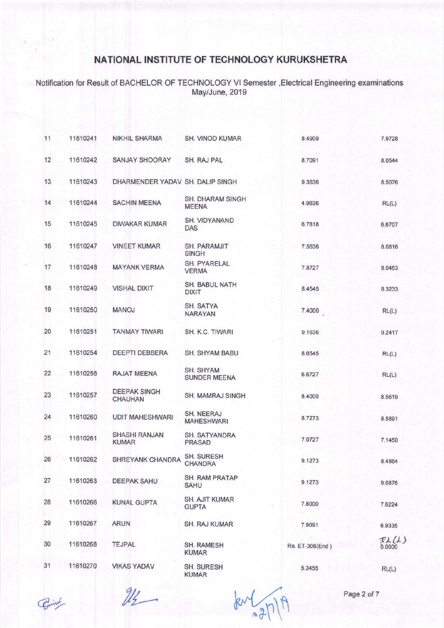Notification for Result of BACHELOR OF TECHNOLOGY Vl Semester ,Electrical Engineering examinations May/June,2019

| 11 | 11610241 | <b>NIKHIL SHARMA</b>                  | <b>SH. VINOD KUMAR</b>                | 8.4909          | 7.9728                  |
|----|----------|---------------------------------------|---------------------------------------|-----------------|-------------------------|
| 12 | 11610242 | SANJAY SHOORAY                        | SH. RAJ PAL                           | 8.7091          | 8.0544                  |
| 13 | 11610243 | DHARMENDER YADAV SH. DALIP SINGH      |                                       | 9.3636          | 8.5076                  |
| 14 | 11610244 | <b>SACHIN MEENA</b>                   | SH. DHARAM SINGH<br><b>MEENA</b>      | 4.9636          | RL(L)                   |
| 15 | 11610245 | <b>DIWAKAR KUMAR</b>                  | SH. VIDYANAND<br>DAS                  | 6.7818          | 6.6707                  |
| 16 | 11610247 | <b>VINEET KUMAR</b>                   | SH. PARAMJIT<br><b>SINGH</b>          | 7.5636          | 8.0816                  |
| 17 | 11610248 | <b>MAYANK VERMA</b>                   | SH. PYARELAL<br><b>VERMA</b>          | 7.8727          | 8.0453                  |
| 18 | 11610249 | <b>VISHAL DIXIT</b>                   | <b>SH. BABUL NATH</b><br><b>DIXIT</b> | 8.4545          | 8.3233                  |
| 19 | 11610250 | MANOJ                                 | SH. SATYA<br><b>NARAYAN</b>           | 7.4000          | RL(L)                   |
| 20 | 11610251 | <b>TANMAY TIWARI</b>                  | SH. K.C. TIWARI                       | 9.1636          | 9.2417                  |
| 21 | 11610254 | DEEPTI DEBBERA                        | SH. SHYAM BABU                        | 8.6545          | RL(L)                   |
| 22 | 11610256 | <b>RAJAT MEENA</b>                    | SH. SHYAM<br><b>SUNDER MEENA</b>      | 6.6727          | RL(L)                   |
| 23 | 11610257 | <b>DEEPAK SINGH</b><br><b>CHAUHAN</b> | <b>SH. MAMRAJ SINGH</b>               | 8.4000          | 8.5619                  |
| 24 | 11610260 | <b>UDIT MAHESHWARI</b>                | SH. NEERAJ<br><b>MAHESHWARI</b>       | 8.7273          | 8.5891                  |
| 25 | 11610261 | <b>SHASHI RANJAN</b><br><b>KUMAR</b>  | SH. SATYANDRA<br>PRASAD               | 7.0727          | 7.1450                  |
| 26 | 11610262 | SHREYANK CHANDRA                      | <b>SH. SURESH</b><br><b>CHANDRA</b>   | 9.1273          | 8.4864                  |
| 27 | 11610263 | <b>DEEPAK SAHU</b>                    | <b>SH. RAM PRATAP</b><br>SAHU         | 9.1273          | 9.0876                  |
| 28 | 11610266 | <b>KUNAL GUPTA</b>                    | <b>SH. AJIT KUMAR</b><br><b>GUPTA</b> | 7.8000          | 7.6224                  |
| 29 | 11610267 | <b>ARUN</b>                           | SH. RAJ KUMAR                         | 7.9091          | 6.9335                  |
| 30 | 11610268 | <b>TEJPAL</b>                         | <b>SH. RAMESH</b><br><b>KUMAR</b>     | Re. ET-306(End) | $F\lambda(L)$<br>0.0000 |
| 31 | 11610270 | <b>VIKAS YADAV</b>                    | SH. SURESH<br><b>KUMAR</b>            | 5.3455          | RL(L)                   |

 $\mathbb{Z}$   $\mathbb{Z}$   $\mathbb{Z}$   $\mathbb{Z}$   $\mathbb{Z}$   $\mathbb{Z}$   $\mathbb{Z}$   $\mathbb{Z}$   $\mathbb{Z}$   $\mathbb{Z}$   $\mathbb{Z}$   $\mathbb{Z}$   $\mathbb{Z}$   $\mathbb{Z}$   $\mathbb{Z}$   $\mathbb{Z}$   $\mathbb{Z}$   $\mathbb{Z}$   $\mathbb{Z}$   $\mathbb{Z}$   $\mathbb{Z}$   $\mathbb{Z}$   $\mathbb{Z}$   $\mathbb{Z}$   $\mathbb{$  $knlq\n$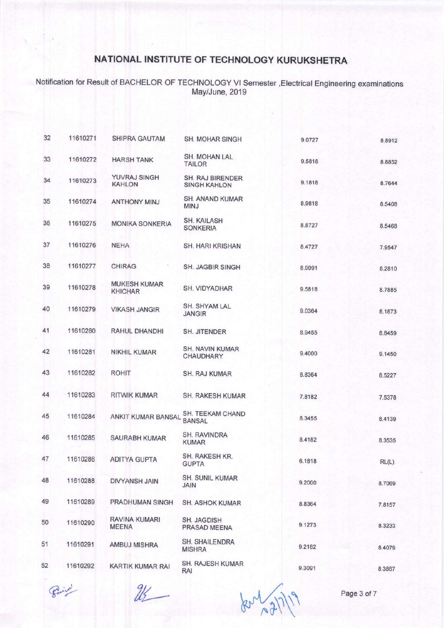Notification for Result of BACHELOR OF TECHNOLOGY Vl Semester ,Electrical Engineering examinations May/June, 2019

| 32 | 11610271 | SHIPRA GAUTAM                  | <b>SH. MOHAR SINGH</b>                         | 9.0727 | 8.8912 |
|----|----------|--------------------------------|------------------------------------------------|--------|--------|
| 33 | 11610272 | <b>HARSH TANK</b>              | <b>SH. MOHAN LAL</b><br><b>TAILOR</b>          | 9.5818 | 8.8852 |
| 34 | 11610273 | YUVRAJ SINGH<br><b>KAHLON</b>  | <b>SH. RAJ BIRENDER</b><br><b>SINGH KAHLON</b> | 9.1818 | 8.7644 |
| 35 | 11610274 | <b>ANTHONY MINJ</b>            | <b>SH. ANAND KUMAR</b><br><b>MINJ</b>          | 8.9818 | 8.5408 |
| 36 | 11610275 | <b>MONIKA SONKERIA</b>         | <b>SH. KAILASH</b><br><b>SONKERIA</b>          | 8.8727 | 8.5468 |
| 37 | 11610276 | <b>NEHA</b>                    | SH. HARI KRISHAN                               | 8.4727 | 7.9547 |
| 38 | 11610277 | <b>CHIRAG</b>                  | SH. JAGBIR SINGH                               | 8.9091 | 8.2810 |
| 39 | 11610278 | <b>MUKESH KUMAR</b><br>KHICHAR | SH. VIDYADHAR                                  | 9.5818 | 8.7885 |
| 40 | 11610279 | <b>VIKASH JANGIR</b>           | SH. SHYAM LAL<br><b>JANGIR</b>                 | 9.0364 | 8.1873 |
| 41 | 11610280 | RAHUL DHANDHI                  | <b>SH. JITENDER</b>                            | 8.9455 | 8.8459 |
| 42 | 11610281 | <b>NIKHIL KUMAR</b>            | SH. NAVIN KUMAR<br>CHAUDHARY                   | 9.4000 | 9.1450 |
| 43 | 11610282 | <b>ROHIT</b>                   | <b>SH. RAJ KUMAR</b>                           | 8.8364 | 8.5227 |
| 44 | 11610283 | <b>RITWIK KUMAR</b>            | <b>SH. RAKESH KUMAR</b>                        | 7.8182 | 7.5378 |
| 45 | 11610284 | ANKIT KUMAR BANSAL             | SH. TEEKAM CHAND<br><b>BANSAL</b>              | 8.3455 | 8.4139 |
| 46 | 11610285 | <b>SAURABH KUMAR</b>           | SH. RAVINDRA<br><b>KUMAR</b>                   | 8.4182 | 8.3535 |
| 47 | 11610286 | <b>ADITYA GUPTA</b>            | SH. RAKESH KR.<br><b>GUPTA</b>                 | 6.1818 | RL(L)  |
| 48 | 11610288 | <b>DIVYANSH JAIN</b>           | <b>SH. SUNIL KUMAR</b><br><b>JAIN</b>          | 9.2000 | 8.7069 |
| 49 | 11610289 | PRADHUMAN SINGH                | <b>SH. ASHOK KUMAR</b>                         | 8.8364 | 7.8157 |
| 50 | 11610290 | RAVINA KUMARI<br><b>MEENA</b>  | SH. JAGDISH<br>PRASAD MEENA                    | 9.1273 | 8.3233 |
| 51 | 11610291 | AMBUJ MISHRA                   | SH. SHAILENDRA<br><b>MISHRA</b>                | 9.2182 | 8.4079 |
| 52 | 11610292 | KARTIK KUMAR RAI               | SH. RAJESH KUMAR<br>RAI                        | 9.3091 | 8.3867 |

 $\frac{2k}{\sqrt{\frac{3}{2}}\sqrt{\frac{1}{1}}}}$  Page 3 of 7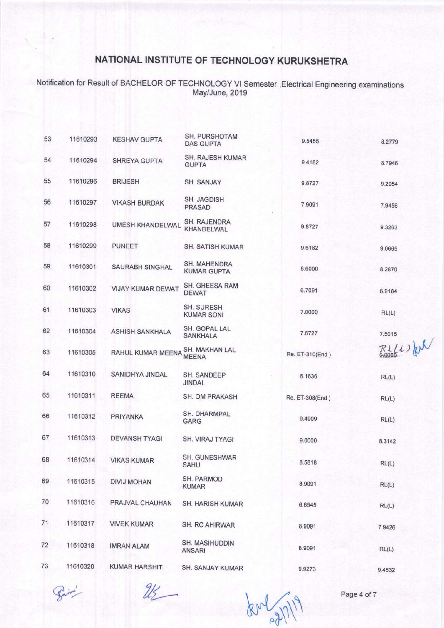Notification for Result of BACHELOR OF TECHNOLOGY Vl Semester ,Electrical Engineering examinations May/June,2019

| 53 | 11610293 | <b>KESHAV GUPTA</b>      | SH. PURSHOTAM<br><b>DAS GUPTA</b>       | 9.5455          | 8.2779  |
|----|----------|--------------------------|-----------------------------------------|-----------------|---------|
| 54 | 11610294 | <b>SHREYA GUPTA</b>      | <b>SH. RAJESH KUMAR</b><br><b>GUPTA</b> | 9.4182          | 8.7946  |
| 55 | 11610296 | <b>BRIJESH</b>           | SH. SANJAY                              | 9.8727          | 9.2054  |
| 56 | 11610297 | <b>VIKASH BURDAK</b>     | SH. JAGDISH<br><b>PRASAD</b>            | 7.9091          | 7.9456  |
| 57 | 11610298 | <b>UMESH KHANDELWAL</b>  | SH. RAJENDRA<br>KHANDELWAL              | 9.8727          | 9.3263  |
| 58 | 11610299 | <b>PUNEET</b>            | <b>SH. SATISH KUMAR</b>                 | 9.6182          | 9.0665  |
| 59 | 11610301 | <b>SAURABH SINGHAL</b>   | SH. MAHENDRA<br><b>KUMAR GUPTA</b>      | 8.6000          | 8.2870  |
| 60 | 11610302 | <b>VIJAY KUMAR DEWAT</b> | SH. GHEESA RAM<br><b>DEWAT</b>          | 6.7091          | 6.9184  |
| 61 | 11610303 | <b>VIKAS</b>             | SH. SURESH<br><b>KUMAR SONI</b>         | 7.0000          | RL(L)   |
| 62 | 11610304 | <b>ASHISH SANKHALA</b>   | SH. GOPAL LAL<br><b>SANKHALA</b>        | 7.6727          | 7.5015  |
| 63 | 11610305 | RAHUL KUMAR MEENA        | SH. MAKHAN LAL<br><b>MEENA</b>          | Re. ET-310(End) | RILLIAN |
| 64 | 11610310 | SANIDHYA JINDAL          | SH. SANDEEP<br><b>JINDAL</b>            | 6.1636          | RL(L)   |
| 65 | 11610311 | <b>REEMA</b>             | SH. OM PRAKASH                          | Re. ET-308(End) | RL(L)   |
| 66 | 11610312 | <b>PRIYANKA</b>          | SH. DHARMPAL<br>GARG                    | 9.4909          | RL(L)   |
| 67 | 11610313 | <b>DEVANSH TYAGI</b>     | <b>SH. VIRAJ TYAGI</b>                  | 9.0000          | 8.3142  |
| 68 | 11610314 | <b>VIKAS KUMAR</b>       | SH. GUNESHWAR<br>SAHU                   | 8.5818          | RL(L)   |
| 69 | 11610315 | <b>DIVIJ MOHAN</b>       | SH. PARMOD<br><b>KUMAR</b>              | 8.9091          | RL(L)   |
| 70 | 11610316 | PRAJVAL CHAUHAN          | <b>SH. HARISH KUMAR</b>                 | 6.6545          | RL(L)   |
| 71 | 11610317 | <b>VIVEK KUMAR</b>       | SH. RC AHIRWAR                          | 8.9091          | 7.9426  |
| 72 | 11610318 | <b>IMRAN ALAM</b>        | SH. MASIHUDDIN<br>ANSARI                | 8.9091          | RL(L)   |
| 73 | 11610320 | <b>KUMAR HARSHIT</b>     | SH. SANJAY KUMAR                        | 9.9273          | 9.4532  |

Faine"

 $2k$  for  $\frac{1}{2}$  Page 4 of 7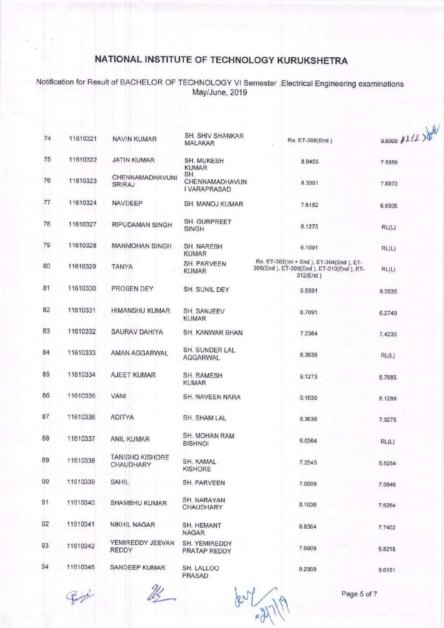Notification for Result of BACHELOR OF TECHNOLOGY Vl Semester,Electrical Engineering examinations May/June, 2019

| 74 | 11610321 | <b>NAVIN KUMAR</b>                  | <b>SH. SHIV SHANKAR</b><br><b>MALAKAR</b>    | Re. ET-308(End)                                                                                     | 0.0000 RILL ) |
|----|----------|-------------------------------------|----------------------------------------------|-----------------------------------------------------------------------------------------------------|---------------|
| 75 | 11610322 | <b>JATIN KUMAR</b>                  | SH. MUKESH<br><b>KUMAR</b>                   | 8.9455                                                                                              | 7.5559        |
| 76 | 11610323 | CHENNAMADHAVUNI<br>SRIRAJ           | SH.<br>CHENNAMADHAVUN<br><b>I VARAPRASAD</b> | 8.3091                                                                                              | 7.8973        |
| 77 | 11610324 | NAVDEEP                             | SH. MANOJ KUMAR                              | 7.6182                                                                                              | 6.9305        |
| 78 | 11610327 | <b>RIPUDAMAN SINGH</b>              | SH. GURPREET<br><b>SINGH</b>                 | 8.1273                                                                                              | RL(L)         |
| 79 | 11610328 | <b>MANMOHAN SINGH</b>               | SH. NARESH<br><b>KUMAR</b>                   | 6.1091                                                                                              | RL(L)         |
| 80 | 11610329 | <b>TANYA</b>                        | <b>SH. PARVEEN</b><br><b>KUMAR</b>           | Re. ET-302(Int + End ), ET-304(End ), ET-<br>306(End), ET-308(End), ET-310(End), ET-<br>$312$ (End) | RL(L)         |
| 81 | 11610330 | PROSEN DEY                          | SH. SUNIL DEY                                | 9.5091                                                                                              | 9.3535        |
| 82 | 11610331 | <b>HIMANSHU KUMAR</b>               | <b>SH. SANJEEV</b><br><b>KUMAR</b>           | 6.7091                                                                                              | 6.2749        |
| 83 | 11610332 | <b>SAURAV DAHIYA</b>                | <b>SH. KANWAR BHAN</b>                       | 7.2364                                                                                              | 7.4230        |
| 84 | 11610333 | AMAN AGGARWAL                       | SH. SUNDER LAL<br><b>AGGARWAL</b>            | 8.3636                                                                                              | RL(L)         |
| 85 | 11610334 | <b>AJEET KUMAR</b>                  | SH. RAMESH<br><b>KUMAR</b>                   | 9.1273                                                                                              | 8.7885        |
| 86 | 11610335 | <b>VANI</b>                         | SH. NAVEEN NARA                              | 9.1636                                                                                              | 8.1299        |
| 87 | 11610336 | <b>ADITYA</b>                       | SH. SHAM LAL                                 | 8.3636                                                                                              | 7.9275        |
| 88 | 11610337 | <b>ANIL KUMAR</b>                   | SH. MOHAN RAM<br><b>BISHNOI</b>              | 6.0364                                                                                              | RL(L)         |
| 89 | 11610338 | <b>TANISHQ KISHORE</b><br>CHAUDHARY | SH. KAMAL<br><b>KISHORE</b>                  | 7.2545                                                                                              | 6.6254        |
| 90 | 11610339 | <b>SAHIL</b>                        | <b>SH. PARVEEN</b>                           | 7.0909                                                                                              | 7.0846        |
| 91 | 11610340 | <b>SHAMBHU KUMAR</b>                | SH. NARAYAN<br><b>CHAUDHARY</b>              | 8.1636                                                                                              | 7.6284        |
| 92 | 11610341 | <b>NIKHIL NAGAR</b>                 | SH. HEMANT<br><b>NAGAR</b>                   | 8.8364                                                                                              | 7.7402        |
| 93 | 11610342 | YEMIREDDY JEEVAN<br>REDDY           | SH. YEMIREDDY<br>PRATAP REDDY                | 7.0909                                                                                              | 6.8218        |
| 94 | 11610346 | <b>SANDEEP KUMAR</b>                | SH. LALLOO<br>PRASAD                         | 9.2909                                                                                              | 9.0151        |

 $\frac{2}{\sqrt{2}}$  Page 5 of 7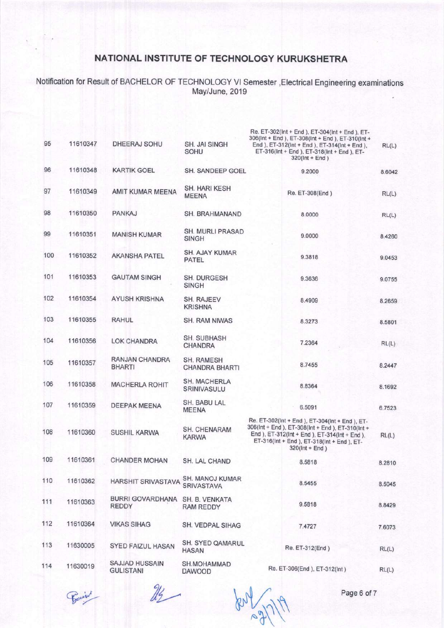Notification for Result of BACHELOR OF TECHNOLOGY Vl Semester,Electrical Engineering examinations May/June, 2019

| 95  | 11610347 | <b>DHEERAJ SOHU</b>                | <b>SH. JAI SINGH</b><br>SOHU            | Re. ET-302(Int + End ), ET-304(Int + End ), ET-<br>306(Int + End ), ET-308(Int + End ), ET-310(Int +<br>End ), ET-312(Int + End ), ET-314(Int + End ),<br>ET-316(Int + End), ET-318(Int + End), ET-<br>$320$ (Int + End)   | RL(L)  |
|-----|----------|------------------------------------|-----------------------------------------|----------------------------------------------------------------------------------------------------------------------------------------------------------------------------------------------------------------------------|--------|
| 96  | 11610348 | <b>KARTIK GOEL</b>                 | SH. SANDEEP GOEL                        | 9.2000                                                                                                                                                                                                                     | 8.6042 |
| 97  | 11610349 | AMIT KUMAR MEENA                   | SH. HARI KESH<br><b>MEENA</b>           | Re. ET-308(End)                                                                                                                                                                                                            | RL(L)  |
| 98  | 11610350 | <b>PANKAJ</b>                      | SH. BRAHMANAND                          | 8.0000                                                                                                                                                                                                                     | RL(L)  |
| 99  | 11610351 | <b>MANISH KUMAR</b>                | <b>SH. MURLI PRASAD</b><br><b>SINGH</b> | 9.0000                                                                                                                                                                                                                     | 8.4260 |
| 100 | 11610352 | <b>AKANSHA PATEL</b>               | SH. AJAY KUMAR<br>PATEL                 | 9.3818                                                                                                                                                                                                                     | 9.0453 |
| 101 | 11610353 | <b>GAUTAM SINGH</b>                | SH. DURGESH<br><b>SINGH</b>             | 9.3636                                                                                                                                                                                                                     | 9.0755 |
| 102 | 11610354 | <b>AYUSH KRISHNA</b>               | <b>SH. RAJEEV</b><br><b>KRISHNA</b>     | 8.4909                                                                                                                                                                                                                     | 8.2659 |
| 103 | 11610355 | RAHUL                              | SH. RAM NIWAS                           | 8.3273                                                                                                                                                                                                                     | 8.5801 |
| 104 | 11610356 | <b>LOK CHANDRA</b>                 | <b>SH. SUBHASH</b><br><b>CHANDRA</b>    | 7.2364                                                                                                                                                                                                                     | RL(L)  |
| 105 | 11610357 | RANJAN CHANDRA<br><b>BHARTI</b>    | SH. RAMESH<br><b>CHANDRA BHARTI</b>     | 8.7455                                                                                                                                                                                                                     | 8.2447 |
| 106 | 11610358 | <b>MACHERLA ROHIT</b>              | SH. MACHERLA<br>SRINIVASULU             | 8.8364                                                                                                                                                                                                                     | 8.1692 |
| 107 | 11610359 | DEEPAK MEENA                       | SH. BABU LAL<br><b>MEENA</b>            | 6.5091                                                                                                                                                                                                                     | 6.7523 |
| 108 | 11610360 | <b>SUSHIL KARWA</b>                | <b>SH. CHENARAM</b><br><b>KARWA</b>     | Re. ET-302(Int + End ), ET-304(Int + End ), ET-<br>306(Int + End ), ET-308(Int + End ), ET-310(Int +<br>End ), ET-312(Int + End ), ET-314(Int + End ),<br>ET-316(Int + End ), ET-318(Int + End ), ET-<br>$320$ (Int + End) | RL(L)  |
| 109 | 11610361 | <b>CHANDER MOHAN</b>               | SH. LAL CHAND                           | 8.5818                                                                                                                                                                                                                     | 8.2810 |
| 110 | 11610362 | <b>HARSHIT SRIVASTAVA</b>          | SH. MANOJ KUMAR<br><b>SRIVASTAVA</b>    | 8.5455                                                                                                                                                                                                                     | 8.5045 |
| 111 | 11610363 | <b>BURRI GOVARDHANA</b><br>REDDY   | SH. B. VENKATA<br><b>RAM REDDY</b>      | 9.5818                                                                                                                                                                                                                     | 8.8429 |
| 112 | 11610364 | <b>VIKAS SIHAG</b>                 | SH. VEDPAL SIHAG                        | 7.4727                                                                                                                                                                                                                     | 7.6073 |
| 113 | 11630005 | SYED FAIZUL HASAN                  | SH. SYED QAMARUL<br><b>HASAN</b>        | Re. ET-312(End)                                                                                                                                                                                                            | RL(L)  |
| 114 | 11630019 | SAJJAD HUSSAIN<br><b>GULISTANI</b> | SH.MOHAMMAD<br><b>DAWOOD</b>            | Re. ET-306(End), ET-312(Int)                                                                                                                                                                                               | RL(L)  |
|     |          |                                    |                                         |                                                                                                                                                                                                                            |        |

Rain

 $24-$ 

 $80^{111}$ 

Page 6 of 7